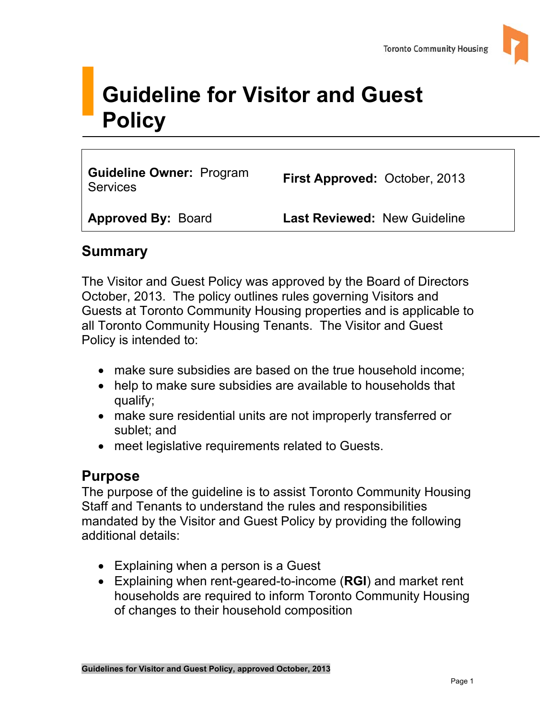

# **Guideline for Visitor and Guest Policy**

**Guideline Owner:** Program **Suideline Owner: Program First Approved: October, 2013**<br>Services

**Approved By:** Board **Last Reviewed:** New Guideline

## **Summary**

The Visitor and Guest Policy was approved by the Board of Directors October, 2013. The policy outlines rules governing Visitors and Guests at Toronto Community Housing properties and is applicable to all Toronto Community Housing Tenants. The Visitor and Guest Policy is intended to:

- make sure subsidies are based on the true household income;
- help to make sure subsidies are available to households that qualify;
- make sure residential units are not improperly transferred or sublet; and
- meet legislative requirements related to Guests.

## **Purpose**

The purpose of the guideline is to assist Toronto Community Housing Staff and Tenants to understand the rules and responsibilities mandated by the Visitor and Guest Policy by providing the following additional details:

- Explaining when a person is a Guest
- Explaining when rent-geared-to-income (**RGI**) and market rent households are required to inform Toronto Community Housing of changes to their household composition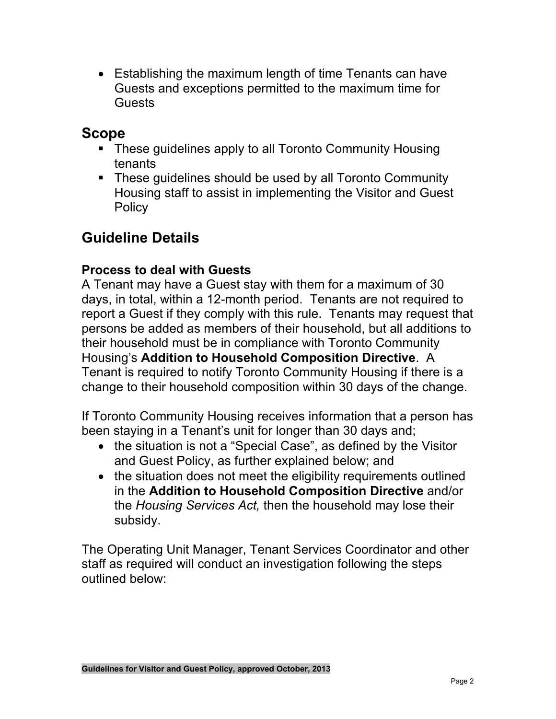• Establishing the maximum length of time Tenants can have Guests and exceptions permitted to the maximum time for **Guests** 

## **Scope**

- These guidelines apply to all Toronto Community Housing tenants
- These guidelines should be used by all Toronto Community Housing staff to assist in implementing the Visitor and Guest **Policy**

# **Guideline Details**

#### **Process to deal with Guests**

A Tenant may have a Guest stay with them for a maximum of 30 days, in total, within a 12-month period. Tenants are not required to report a Guest if they comply with this rule. Tenants may request that persons be added as members of their household, but all additions to their household must be in compliance with Toronto Community Housing's **Addition to Household Composition Directive**. A Tenant is required to notify Toronto Community Housing if there is a change to their household composition within 30 days of the change.

If Toronto Community Housing receives information that a person has been staying in a Tenant's unit for longer than 30 days and;

- the situation is not a "Special Case", as defined by the Visitor and Guest Policy, as further explained below; and
- the situation does not meet the eligibility requirements outlined in the **Addition to Household Composition Directive** and/or the *Housing Services Act,* then the household may lose their subsidy.

 outlined below: The Operating Unit Manager, Tenant Services Coordinator and other staff as required will conduct an investigation following the steps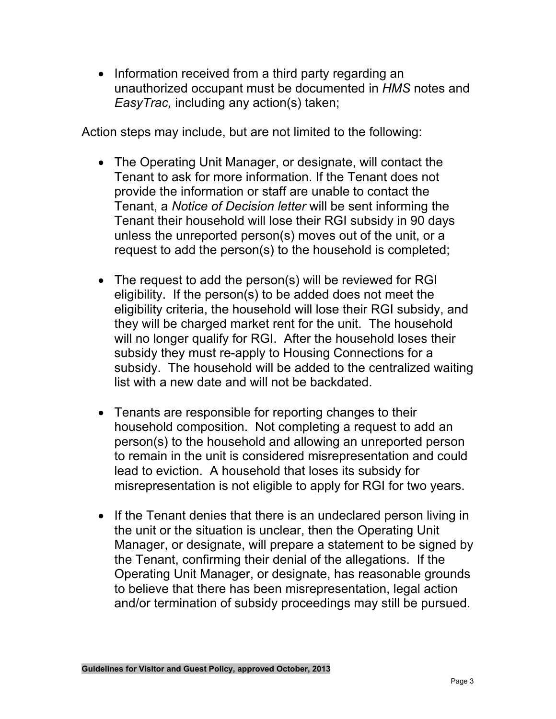• Information received from a third party regarding an unauthorized occupant must be documented in *HMS* notes and *EasyTrac,* including any action(s) taken;

Action steps may include, but are not limited to the following:

- The Operating Unit Manager, or designate, will contact the Tenant to ask for more information. If the Tenant does not provide the information or staff are unable to contact the Tenant, a *Notice of Decision letter* will be sent informing the Tenant their household will lose their RGI subsidy in 90 days unless the unreported person(s) moves out of the unit, or a request to add the person(s) to the household is completed;
- The request to add the person(s) will be reviewed for RGI eligibility. If the person(s) to be added does not meet the eligibility criteria, the household will lose their RGI subsidy, and they will be charged market rent for the unit. The household will no longer qualify for RGI. After the household loses their subsidy they must re-apply to Housing Connections for a subsidy. The household will be added to the centralized waiting list with a new date and will not be backdated.
- Tenants are responsible for reporting changes to their household composition. Not completing a request to add an person(s) to the household and allowing an unreported person to remain in the unit is considered misrepresentation and could lead to eviction. A household that loses its subsidy for misrepresentation is not eligible to apply for RGI for two years.
- If the Tenant denies that there is an undeclared person living in the unit or the situation is unclear, then the Operating Unit Manager, or designate, will prepare a statement to be signed by the Tenant, confirming their denial of the allegations. If the Operating Unit Manager, or designate, has reasonable grounds to believe that there has been misrepresentation, legal action and/or termination of subsidy proceedings may still be pursued.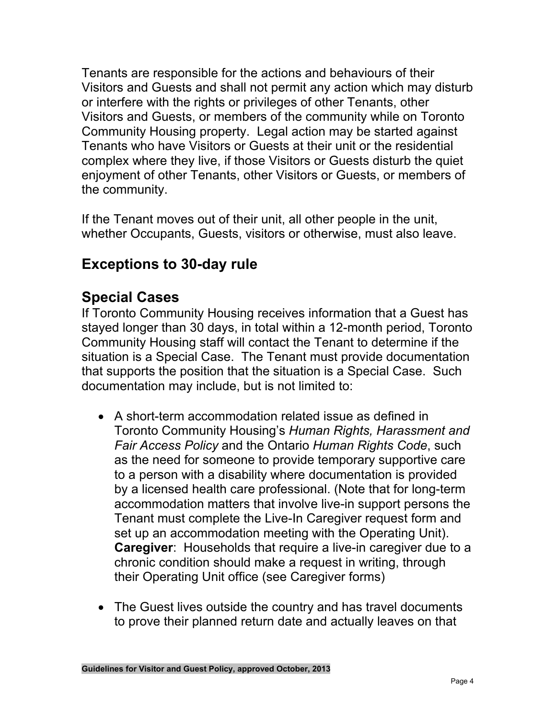Tenants are responsible for the actions and behaviours of their Visitors and Guests and shall not permit any action which may disturb or interfere with the rights or privileges of other Tenants, other Visitors and Guests, or members of the community while on Toronto Community Housing property. Legal action may be started against Tenants who have Visitors or Guests at their unit or the residential complex where they live, if those Visitors or Guests disturb the quiet enjoyment of other Tenants, other Visitors or Guests, or members of the community.

If the Tenant moves out of their unit, all other people in the unit, whether Occupants, Guests, visitors or otherwise, must also leave.

## **Exceptions to 30-day rule**

## **Special Cases**

If Toronto Community Housing receives information that a Guest has stayed longer than 30 days, in total within a 12-month period, Toronto Community Housing staff will contact the Tenant to determine if the situation is a Special Case. The Tenant must provide documentation that supports the position that the situation is a Special Case. Such documentation may include, but is not limited to:

- A short-term accommodation related issue as defined in Toronto Community Housing's *Human Rights, Harassment and Fair Access Policy* and the Ontario *Human Rights Code*, such as the need for someone to provide temporary supportive care to a person with a disability where documentation is provided by a licensed health care professional. (Note that for long-term accommodation matters that involve live-in support persons the Tenant must complete the Live-In Caregiver request form and set up an accommodation meeting with the Operating Unit). **Caregiver**: Households that require a live-in caregiver due to a chronic condition should make a request in writing, through their Operating Unit office (see Caregiver forms)
- The Guest lives outside the country and has travel documents to prove their planned return date and actually leaves on that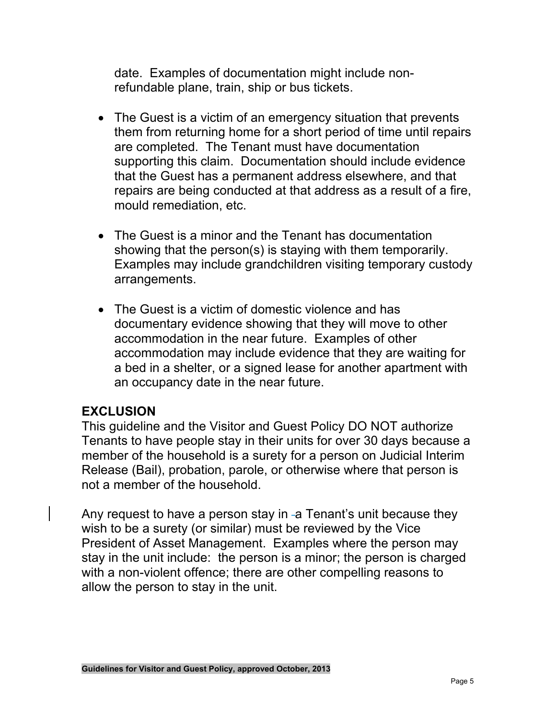date. Examples of documentation might include nonrefundable plane, train, ship or bus tickets.

- The Guest is a victim of an emergency situation that prevents them from returning home for a short period of time until repairs are completed. The Tenant must have documentation supporting this claim. Documentation should include evidence that the Guest has a permanent address elsewhere, and that repairs are being conducted at that address as a result of a fire, mould remediation, etc.
- The Guest is a minor and the Tenant has documentation showing that the person(s) is staying with them temporarily. Examples may include grandchildren visiting temporary custody arrangements.
- The Guest is a victim of domestic violence and has documentary evidence showing that they will move to other accommodation in the near future. Examples of other accommodation may include evidence that they are waiting for a bed in a shelter, or a signed lease for another apartment with an occupancy date in the near future.

#### **EXCLUSION**

This guideline and the Visitor and Guest Policy DO NOT authorize Tenants to have people stay in their units for over 30 days because a member of the household is a surety for a person on Judicial Interim Release (Bail), probation, parole, or otherwise where that person is not a member of the household.

Any request to have a person stay in  $-a$  Tenant's unit because they wish to be a surety (or similar) must be reviewed by the Vice President of Asset Management. Examples where the person may stay in the unit include: the person is a minor; the person is charged with a non-violent offence; there are other compelling reasons to allow the person to stay in the unit.